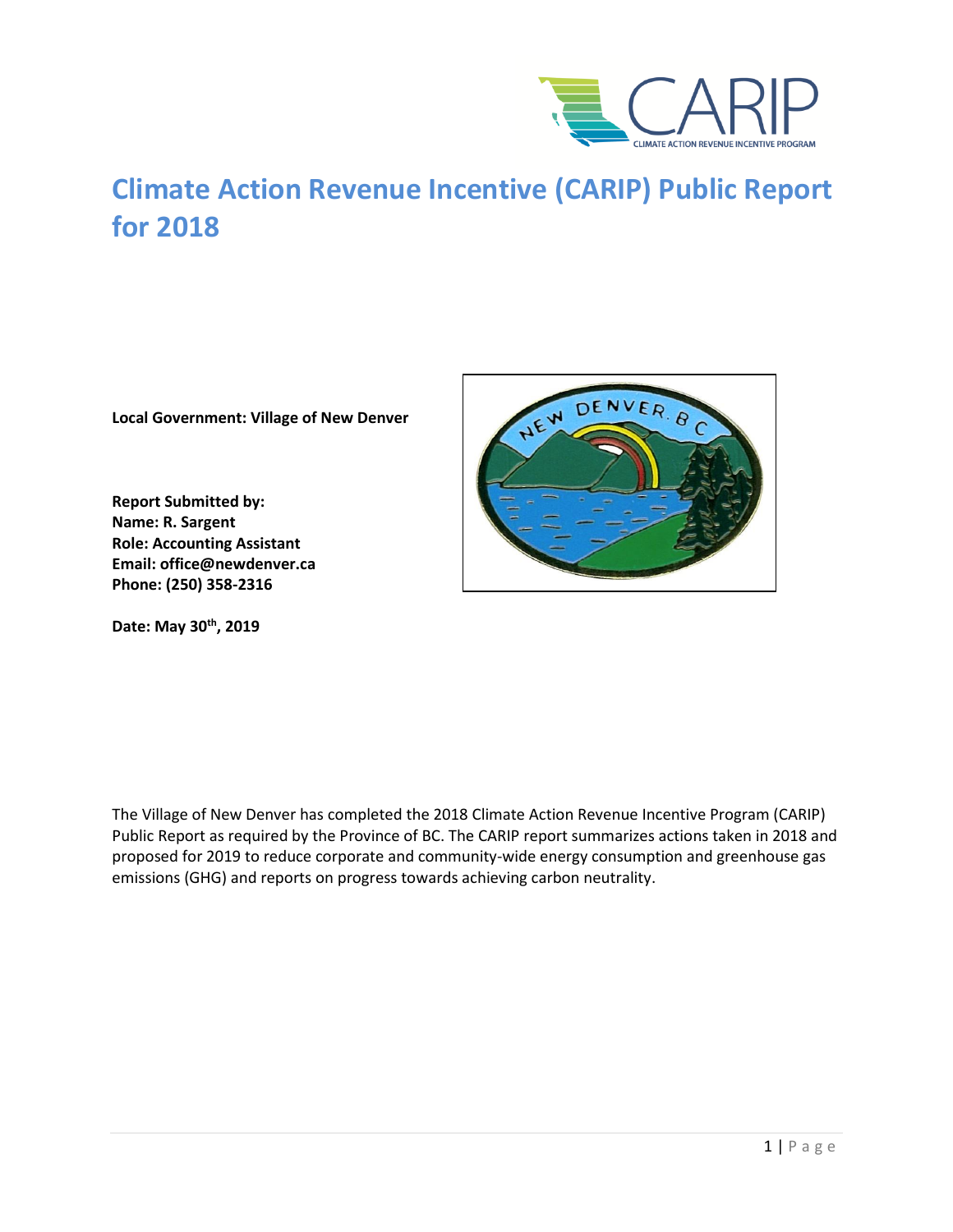

# **Climate Action Revenue Incentive (CARIP) Public Report for 2018**

**Local Government: Village of New Denver**

**Report Submitted by: Name: R. Sargent Role: Accounting Assistant Email: office@newdenver.ca Phone: (250) 358-2316**

**Date: May 30th, 2019**



The Village of New Denver has completed the 2018 Climate Action Revenue Incentive Program (CARIP) Public Report as required by the Province of BC. The CARIP report summarizes actions taken in 2018 and proposed for 2019 to reduce corporate and community-wide energy consumption and greenhouse gas emissions (GHG) and reports on progress towards achieving carbon neutrality.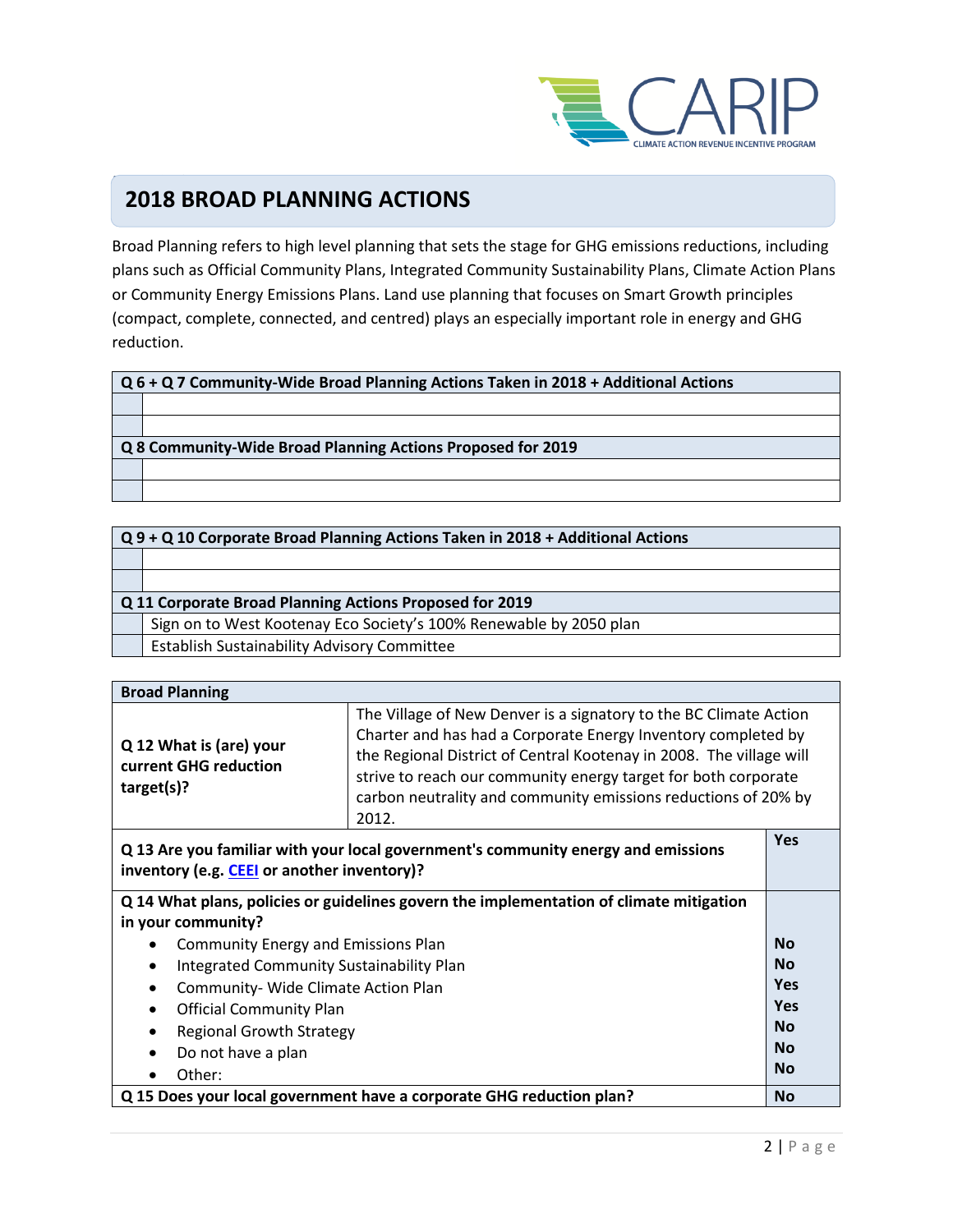

#### $\overline{\phantom{a}}$ **2018 BROAD PLANNING ACTIONS**

Broad Planning refers to high level planning that sets the stage for GHG emissions reductions, including plans such as Official Community Plans, Integrated Community Sustainability Plans, Climate Action Plans or Community Energy Emissions Plans. Land use planning that focuses on Smart Growth principles (compact, complete, connected, and centred) plays an especially important role in energy and GHG reduction.

| Q 9 + Q 10 Corporate Broad Planning Actions Taken in 2018 + Additional Actions |  |
|--------------------------------------------------------------------------------|--|
|--------------------------------------------------------------------------------|--|

| Q 11 Corporate Broad Planning Actions Proposed for 2019 |  |
|---------------------------------------------------------|--|
|---------------------------------------------------------|--|

Sign on to West Kootenay Eco Society's 100% Renewable by 2050 plan

Establish Sustainability Advisory Committee

| <b>Broad Planning</b>                                                                   |                                                                                                                                                                                                                                                                                                                                                        |            |
|-----------------------------------------------------------------------------------------|--------------------------------------------------------------------------------------------------------------------------------------------------------------------------------------------------------------------------------------------------------------------------------------------------------------------------------------------------------|------------|
| Q 12 What is (are) your<br>current GHG reduction<br>target(s)?                          | The Village of New Denver is a signatory to the BC Climate Action<br>Charter and has had a Corporate Energy Inventory completed by<br>the Regional District of Central Kootenay in 2008. The village will<br>strive to reach our community energy target for both corporate<br>carbon neutrality and community emissions reductions of 20% by<br>2012. |            |
| inventory (e.g. CEEI or another inventory)?                                             | Q 13 Are you familiar with your local government's community energy and emissions                                                                                                                                                                                                                                                                      | <b>Yes</b> |
| Q 14 What plans, policies or guidelines govern the implementation of climate mitigation |                                                                                                                                                                                                                                                                                                                                                        |            |
| in your community?                                                                      |                                                                                                                                                                                                                                                                                                                                                        |            |
| <b>Community Energy and Emissions Plan</b><br>$\bullet$                                 |                                                                                                                                                                                                                                                                                                                                                        | <b>No</b>  |
| <b>Integrated Community Sustainability Plan</b><br>$\bullet$                            |                                                                                                                                                                                                                                                                                                                                                        | <b>No</b>  |
| Community- Wide Climate Action Plan                                                     |                                                                                                                                                                                                                                                                                                                                                        | Yes        |
| <b>Official Community Plan</b><br>$\bullet$                                             |                                                                                                                                                                                                                                                                                                                                                        | Yes        |
| <b>Regional Growth Strategy</b>                                                         |                                                                                                                                                                                                                                                                                                                                                        | <b>No</b>  |
| Do not have a plan<br>$\bullet$                                                         |                                                                                                                                                                                                                                                                                                                                                        | <b>No</b>  |
| Other:                                                                                  |                                                                                                                                                                                                                                                                                                                                                        | <b>No</b>  |
|                                                                                         | Q 15 Does your local government have a corporate GHG reduction plan?                                                                                                                                                                                                                                                                                   | <b>No</b>  |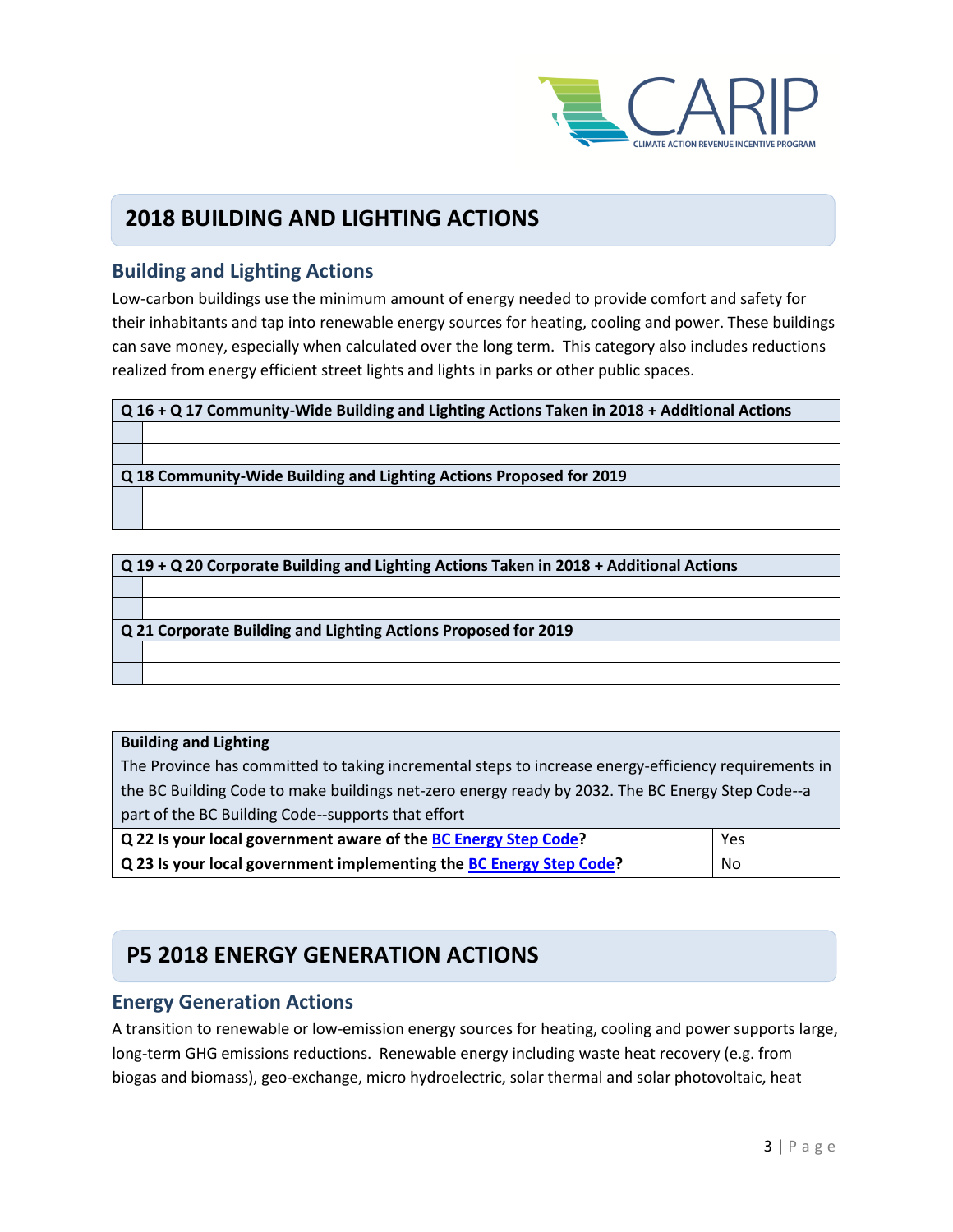

### **2018 BUILDING AND LIGHTING ACTIONS**

### **Building and Lighting Actions**

Low-carbon buildings use the minimum amount of energy needed to provide comfort and safety for their inhabitants and tap into renewable energy sources for heating, cooling and power. These buildings can save money, especially when calculated over the long term. This category also includes reductions realized from energy efficient street lights and lights in parks or other public spaces.

| $\sqrt{Q}$ 16 + Q 17 Community-Wide Building and Lighting Actions Taken in 2018 + Additional Actions |                                                                     |
|------------------------------------------------------------------------------------------------------|---------------------------------------------------------------------|
|                                                                                                      |                                                                     |
|                                                                                                      |                                                                     |
|                                                                                                      | Q 18 Community-Wide Building and Lighting Actions Proposed for 2019 |
|                                                                                                      |                                                                     |
|                                                                                                      |                                                                     |

| $Q$ 19 + Q 20 Corporate Building and Lighting Actions Taken in 2018 + Additional Actions |                                                                |
|------------------------------------------------------------------------------------------|----------------------------------------------------------------|
|                                                                                          |                                                                |
|                                                                                          |                                                                |
|                                                                                          | Q 21 Corporate Building and Lighting Actions Proposed for 2019 |
|                                                                                          |                                                                |
|                                                                                          |                                                                |

#### **Building and Lighting**

The Province has committed to taking incremental steps to increase energy-efficiency requirements in the BC Building Code to make buildings net-zero energy ready by 2032. The BC Energy Step Code--a part of the BC Building Code--supports that effort

| Q 22 Is your local government aware of the BC Energy Step Code?     | Yes |
|---------------------------------------------------------------------|-----|
| Q 23 Is your local government implementing the BC Energy Step Code? | No  |

## **P5 2018 ENERGY GENERATION ACTIONS**

#### **Energy Generation Actions**

A transition to renewable or low-emission energy sources for heating, cooling and power supports large, long-term GHG emissions reductions. Renewable energy including waste heat recovery (e.g. from biogas and biomass), geo-exchange, micro hydroelectric, solar thermal and solar photovoltaic, heat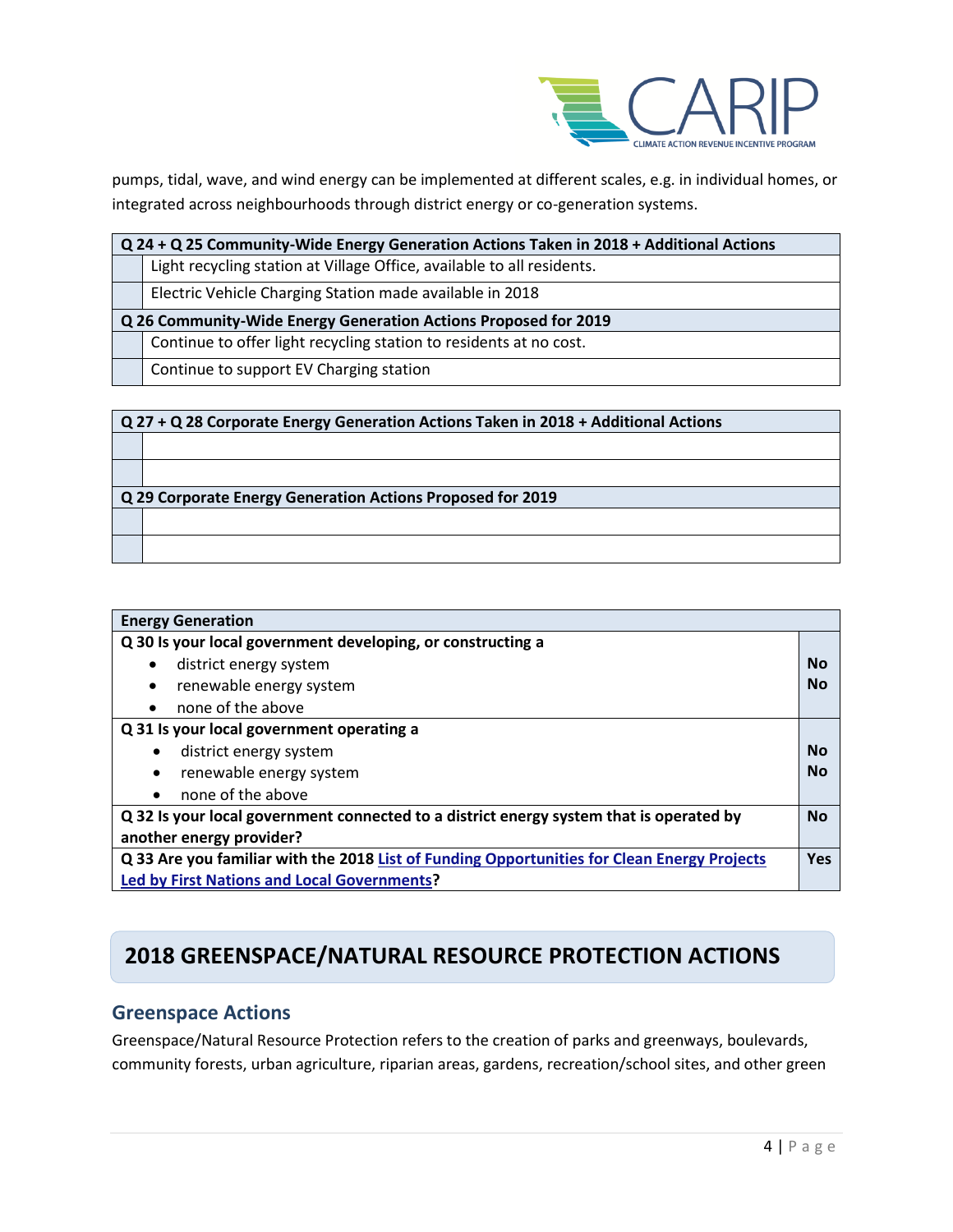

pumps, tidal, wave, and wind energy can be implemented at different scales, e.g. in individual homes, or integrated across neighbourhoods through district energy or co-generation systems.

| $Q$ 24 + Q 25 Community-Wide Energy Generation Actions Taken in 2018 + Additional Actions |                                                                        |
|-------------------------------------------------------------------------------------------|------------------------------------------------------------------------|
|                                                                                           | Light recycling station at Village Office, available to all residents. |
|                                                                                           | Electric Vehicle Charging Station made available in 2018               |

**Q 26 Community-Wide Energy Generation Actions Proposed for 2019**

Continue to offer light recycling station to residents at no cost.

Continue to support EV Charging station

| Q 27 + Q 28 Corporate Energy Generation Actions Taken in 2018 + Additional Actions |  |
|------------------------------------------------------------------------------------|--|
|                                                                                    |  |
|                                                                                    |  |
| Q 29 Corporate Energy Generation Actions Proposed for 2019                         |  |
|                                                                                    |  |
|                                                                                    |  |

| <b>Energy Generation</b>                                                                                  |           |
|-----------------------------------------------------------------------------------------------------------|-----------|
| Q 30 Is your local government developing, or constructing a                                               |           |
| district energy system<br>$\bullet$                                                                       | No        |
| renewable energy system<br>$\bullet$                                                                      | No        |
| none of the above<br>$\bullet$                                                                            |           |
| Q 31 Is your local government operating a                                                                 |           |
| district energy system                                                                                    | No        |
| renewable energy system                                                                                   | No        |
| none of the above                                                                                         |           |
| Q 32 Is your local government connected to a district energy system that is operated by                   | <b>No</b> |
| another energy provider?                                                                                  |           |
| Q 33 Are you familiar with the 2018 List of Funding Opportunities for Clean Energy Projects<br><b>Yes</b> |           |
| <b>Led by First Nations and Local Governments?</b>                                                        |           |

## **2018 GREENSPACE/NATURAL RESOURCE PROTECTION ACTIONS**

### **Greenspace Actions**

Greenspace/Natural Resource Protection refers to the creation of parks and greenways, boulevards, community forests, urban agriculture, riparian areas, gardens, recreation/school sites, and other green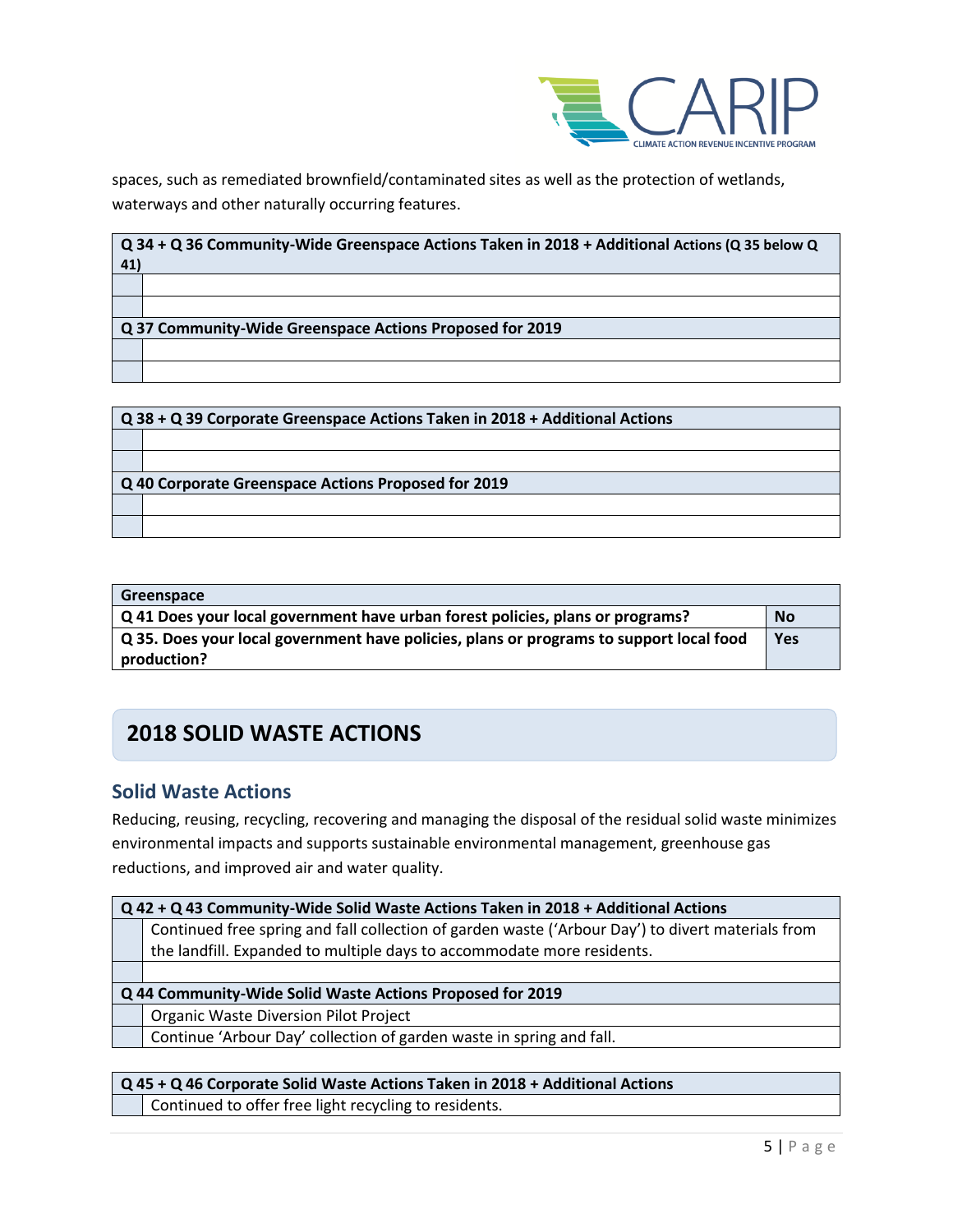

spaces, such as remediated brownfield/contaminated sites as well as the protection of wetlands, waterways and other naturally occurring features.

| 41) | $Q$ 34 + Q 36 Community-Wide Greenspace Actions Taken in 2018 + Additional Actions (Q 35 below Q |
|-----|--------------------------------------------------------------------------------------------------|
|     |                                                                                                  |
|     |                                                                                                  |
|     | Q 37 Community-Wide Greenspace Actions Proposed for 2019                                         |
|     |                                                                                                  |
|     |                                                                                                  |

| Q 38 + Q 39 Corporate Greenspace Actions Taken in 2018 + Additional Actions |  |  |
|-----------------------------------------------------------------------------|--|--|
|                                                                             |  |  |
|                                                                             |  |  |
| Q 40 Corporate Greenspace Actions Proposed for 2019                         |  |  |
|                                                                             |  |  |
|                                                                             |  |  |

| Greenspace                                                                                     |           |
|------------------------------------------------------------------------------------------------|-----------|
| $\sqrt{Q}$ 41 Does your local government have urban forest policies, plans or programs?        | <b>No</b> |
| $\mid$ Q 35. Does your local government have policies, plans or programs to support local food | Yes       |
| production?                                                                                    |           |

## **2018 SOLID WASTE ACTIONS**

### **Solid Waste Actions**

Reducing, reusing, recycling, recovering and managing the disposal of the residual solid waste minimizes environmental impacts and supports sustainable environmental management, greenhouse gas reductions, and improved air and water quality.

| Q 42 + Q 43 Community-Wide Solid Waste Actions Taken in 2018 + Additional Actions |                                                                                                   |  |
|-----------------------------------------------------------------------------------|---------------------------------------------------------------------------------------------------|--|
|                                                                                   | Continued free spring and fall collection of garden waste ('Arbour Day') to divert materials from |  |
|                                                                                   | the landfill. Expanded to multiple days to accommodate more residents.                            |  |
|                                                                                   |                                                                                                   |  |
|                                                                                   | Q 44 Community-Wide Solid Waste Actions Proposed for 2019                                         |  |
|                                                                                   | <b>Organic Waste Diversion Pilot Project</b>                                                      |  |
|                                                                                   | Continue 'Arbour Day' collection of garden waste in spring and fall.                              |  |
|                                                                                   |                                                                                                   |  |
|                                                                                   |                                                                                                   |  |

**Q 45 + Q 46 Corporate Solid Waste Actions Taken in 2018 + Additional Actions**  Continued to offer free light recycling to residents.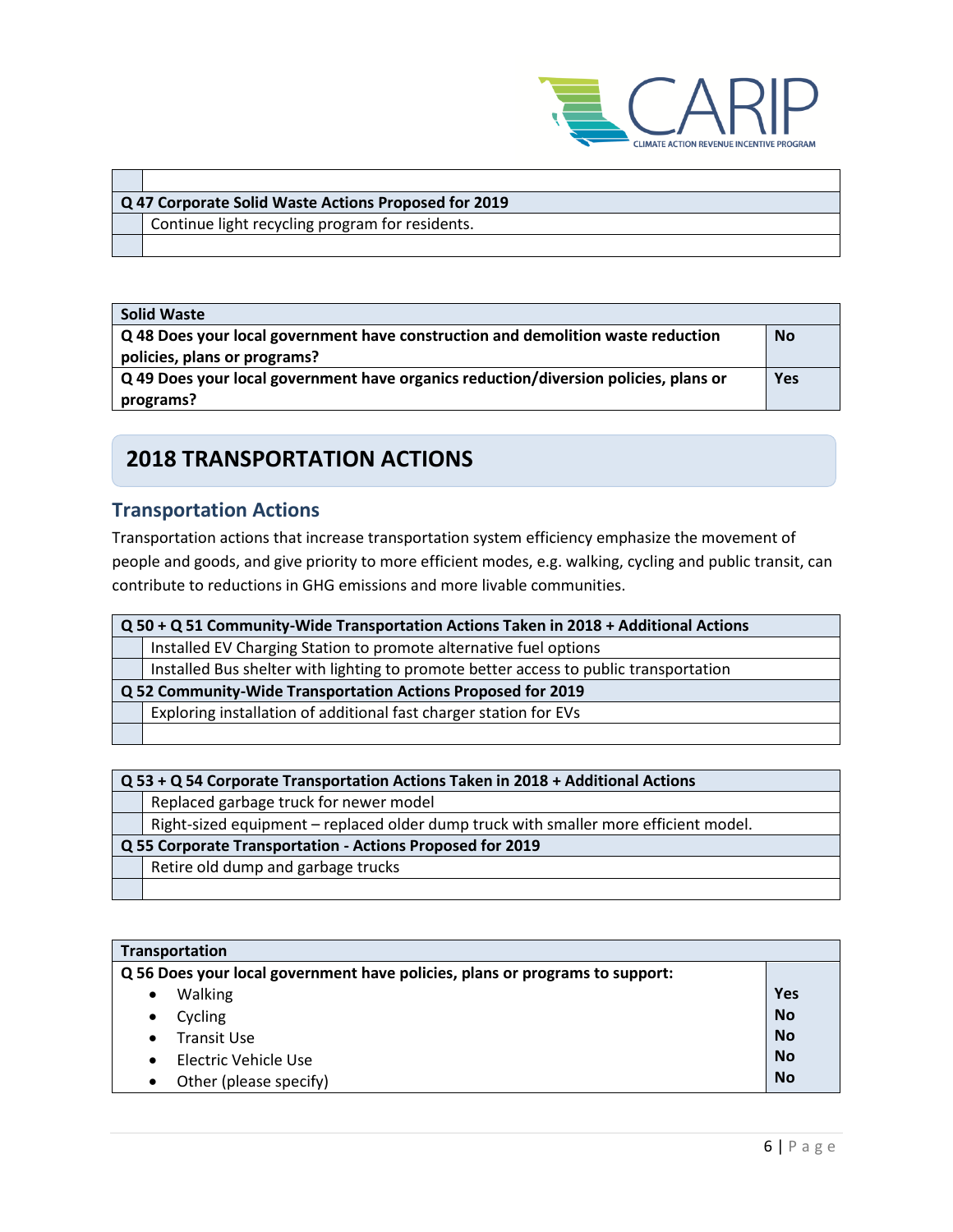

| Q 47 Corporate Solid Waste Actions Proposed for 2019 |  |
|------------------------------------------------------|--|
| Continue light recycling program for residents.      |  |
|                                                      |  |

| <b>Solid Waste</b>                                                                   |           |
|--------------------------------------------------------------------------------------|-----------|
| Q 48 Does your local government have construction and demolition waste reduction     | <b>No</b> |
| policies, plans or programs?                                                         |           |
| Q 49 Does your local government have organics reduction/diversion policies, plans or | Yes       |
| programs?                                                                            |           |

## **2018 TRANSPORTATION ACTIONS**

## **Transportation Actions**

Transportation actions that increase transportation system efficiency emphasize the movement of people and goods, and give priority to more efficient modes, e.g. walking, cycling and public transit, can contribute to reductions in GHG emissions and more livable communities.

| Q 50 + Q 51 Community-Wide Transportation Actions Taken in 2018 + Additional Actions  |  |
|---------------------------------------------------------------------------------------|--|
| Installed EV Charging Station to promote alternative fuel options                     |  |
| Installed Bus shelter with lighting to promote better access to public transportation |  |
| Q 52 Community-Wide Transportation Actions Proposed for 2019                          |  |
| Exploring installation of additional fast charger station for EVs                     |  |
|                                                                                       |  |

| Q 53 + Q 54 Corporate Transportation Actions Taken in 2018 + Additional Actions |                                                                                      |  |
|---------------------------------------------------------------------------------|--------------------------------------------------------------------------------------|--|
|                                                                                 | Replaced garbage truck for newer model                                               |  |
|                                                                                 | Right-sized equipment – replaced older dump truck with smaller more efficient model. |  |
| Q 55 Corporate Transportation - Actions Proposed for 2019                       |                                                                                      |  |
|                                                                                 | Retire old dump and garbage trucks                                                   |  |
|                                                                                 |                                                                                      |  |

| Transportation                                                               |           |
|------------------------------------------------------------------------------|-----------|
| Q 56 Does your local government have policies, plans or programs to support: |           |
| Walking                                                                      | Yes       |
| Cycling<br>٠                                                                 | <b>No</b> |
| Transit Use                                                                  | <b>No</b> |
| Electric Vehicle Use                                                         | <b>No</b> |
| Other (please specify)                                                       | <b>No</b> |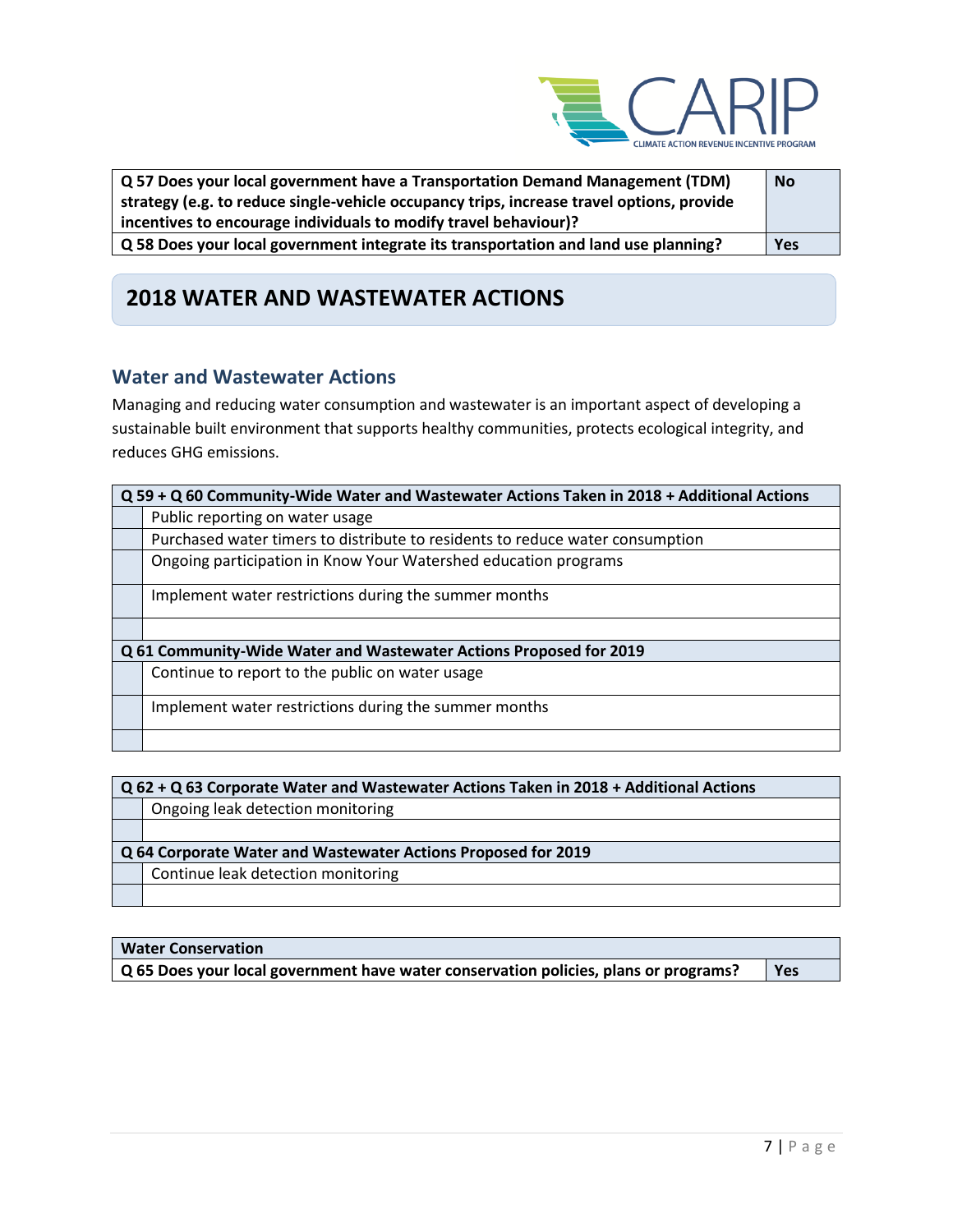

| Q 57 Does your local government have a Transportation Demand Management (TDM)             | <b>No</b> |
|-------------------------------------------------------------------------------------------|-----------|
| strategy (e.g. to reduce single-vehicle occupancy trips, increase travel options, provide |           |
| incentives to encourage individuals to modify travel behaviour)?                          |           |
| Q 58 Does your local government integrate its transportation and land use planning?       | Yes       |

## **2018 WATER AND WASTEWATER ACTIONS**

### **Water and Wastewater Actions**

Managing and reducing water consumption and wastewater is an important aspect of developing a sustainable built environment that supports healthy communities, protects ecological integrity, and reduces GHG emissions.

| Q 59 + Q 60 Community-Wide Water and Wastewater Actions Taken in 2018 + Additional Actions |  |  |
|--------------------------------------------------------------------------------------------|--|--|
| Public reporting on water usage                                                            |  |  |
| Purchased water timers to distribute to residents to reduce water consumption              |  |  |
| Ongoing participation in Know Your Watershed education programs                            |  |  |
| Implement water restrictions during the summer months                                      |  |  |
|                                                                                            |  |  |
| Q 61 Community-Wide Water and Wastewater Actions Proposed for 2019                         |  |  |
| Continue to report to the public on water usage                                            |  |  |
| Implement water restrictions during the summer months                                      |  |  |
|                                                                                            |  |  |

| $Q$ 62 + Q 63 Corporate Water and Wastewater Actions Taken in 2018 + Additional Actions |                                    |  |
|-----------------------------------------------------------------------------------------|------------------------------------|--|
|                                                                                         | Ongoing leak detection monitoring  |  |
|                                                                                         |                                    |  |
| Q 64 Corporate Water and Wastewater Actions Proposed for 2019                           |                                    |  |
|                                                                                         |                                    |  |
|                                                                                         | Continue leak detection monitoring |  |

| <b>Water Conservation</b>                                                            |     |
|--------------------------------------------------------------------------------------|-----|
| Q 65 Does your local government have water conservation policies, plans or programs? | Yes |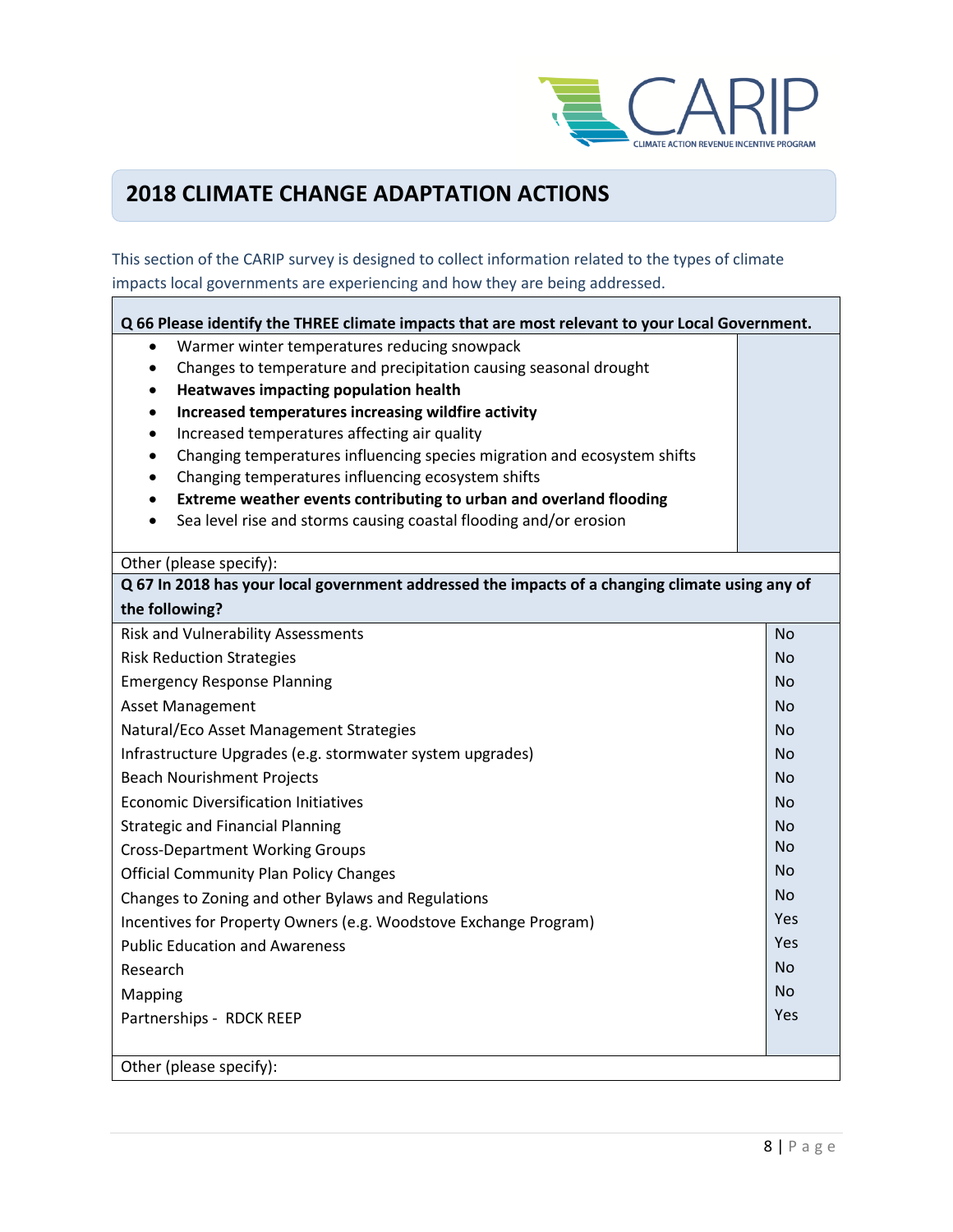

## **2018 CLIMATE CHANGE ADAPTATION ACTIONS**

This section of the CARIP survey is designed to collect information related to the types of climate impacts local governments are experiencing and how they are being addressed.

| Q 66 Please identify the THREE climate impacts that are most relevant to your Local Government. |           |
|-------------------------------------------------------------------------------------------------|-----------|
| Warmer winter temperatures reducing snowpack                                                    |           |
| Changes to temperature and precipitation causing seasonal drought<br>$\bullet$                  |           |
| Heatwaves impacting population health<br>$\bullet$                                              |           |
| Increased temperatures increasing wildfire activity<br>$\bullet$                                |           |
| Increased temperatures affecting air quality<br>$\bullet$                                       |           |
| Changing temperatures influencing species migration and ecosystem shifts<br>$\bullet$           |           |
| Changing temperatures influencing ecosystem shifts<br>٠                                         |           |
| Extreme weather events contributing to urban and overland flooding<br>$\bullet$                 |           |
| Sea level rise and storms causing coastal flooding and/or erosion<br>$\bullet$                  |           |
| Other (please specify):                                                                         |           |
| Q 67 In 2018 has your local government addressed the impacts of a changing climate using any of |           |
| the following?                                                                                  |           |
| <b>Risk and Vulnerability Assessments</b>                                                       | No        |
| <b>Risk Reduction Strategies</b>                                                                | <b>No</b> |
| <b>Emergency Response Planning</b>                                                              | <b>No</b> |
| <b>Asset Management</b>                                                                         | No        |
| Natural/Eco Asset Management Strategies                                                         | <b>No</b> |
| Infrastructure Upgrades (e.g. stormwater system upgrades)                                       | <b>No</b> |
| <b>Beach Nourishment Projects</b>                                                               | <b>No</b> |
| <b>Economic Diversification Initiatives</b>                                                     | <b>No</b> |
| <b>Strategic and Financial Planning</b>                                                         | <b>No</b> |
| <b>Cross-Department Working Groups</b>                                                          | No        |
| <b>Official Community Plan Policy Changes</b>                                                   | No        |
| Changes to Zoning and other Bylaws and Regulations                                              | <b>No</b> |
| Incentives for Property Owners (e.g. Woodstove Exchange Program)                                | Yes       |
| <b>Public Education and Awareness</b>                                                           | Yes       |
| Research                                                                                        | <b>No</b> |
| Mapping                                                                                         | <b>No</b> |
| Partnerships - RDCK REEP                                                                        | Yes       |
|                                                                                                 |           |
| Other (please specify):                                                                         |           |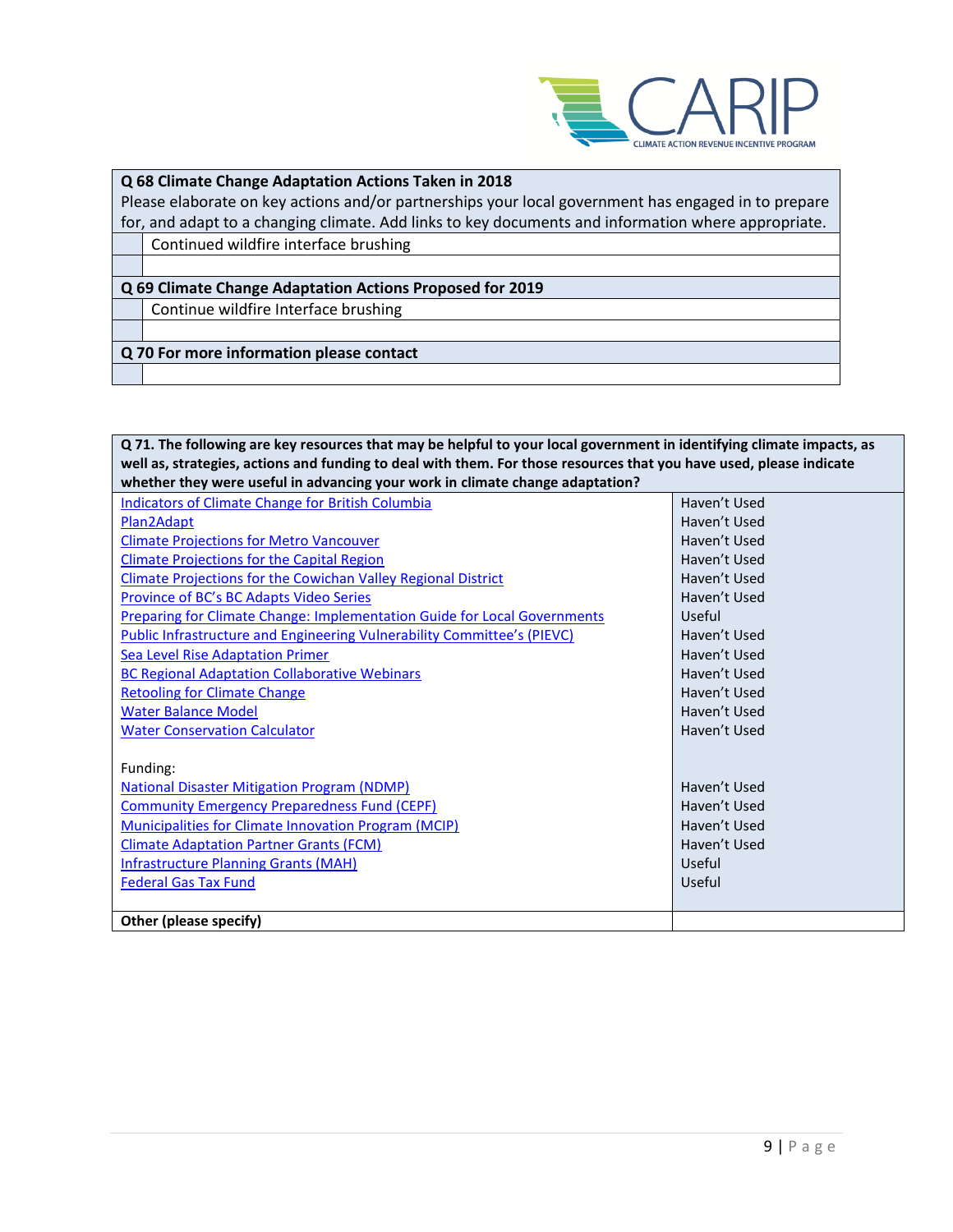

#### **Q 68 Climate Change Adaptation Actions Taken in 2018**

Please elaborate on key actions and/or partnerships your local government has engaged in to prepare for, and adapt to a changing climate. Add links to key documents and information where appropriate. Continued wildfire interface brushing

## **Q 69 Climate Change Adaptation Actions Proposed for 2019**

Continue wildfire Interface brushing

**Q 70 For more information please contact**

**Q 71. The following are key resources that may be helpful to your local government in identifying climate impacts, as well as, strategies, actions and funding to deal with them. For those resources that you have used, please indicate whether they were useful in advancing your work in climate change adaptation?**

| wiletiler tiley were useful ill auvalitilig your work ill tillliate thange auaptation: |              |  |
|----------------------------------------------------------------------------------------|--------------|--|
| <b>Indicators of Climate Change for British Columbia</b>                               | Haven't Used |  |
| Plan2Adapt                                                                             | Haven't Used |  |
| <b>Climate Projections for Metro Vancouver</b>                                         | Haven't Used |  |
| <b>Climate Projections for the Capital Region</b>                                      | Haven't Used |  |
| <b>Climate Projections for the Cowichan Valley Regional District</b>                   | Haven't Used |  |
| <b>Province of BC's BC Adapts Video Series</b>                                         | Haven't Used |  |
| <b>Preparing for Climate Change: Implementation Guide for Local Governments</b>        | Useful       |  |
| Public Infrastructure and Engineering Vulnerability Committee's (PIEVC)                | Haven't Used |  |
| <b>Sea Level Rise Adaptation Primer</b>                                                | Haven't Used |  |
| <b>BC Regional Adaptation Collaborative Webinars</b>                                   | Haven't Used |  |
| <b>Retooling for Climate Change</b>                                                    | Haven't Used |  |
| <b>Water Balance Model</b>                                                             | Haven't Used |  |
| <b>Water Conservation Calculator</b>                                                   | Haven't Used |  |
|                                                                                        |              |  |
| Funding:                                                                               |              |  |
| <b>National Disaster Mitigation Program (NDMP)</b>                                     | Haven't Used |  |
| <b>Community Emergency Preparedness Fund (CEPF)</b>                                    | Haven't Used |  |
| <b>Municipalities for Climate Innovation Program (MCIP)</b>                            | Haven't Used |  |
| <b>Climate Adaptation Partner Grants (FCM)</b>                                         | Haven't Used |  |
| <b>Infrastructure Planning Grants (MAH)</b>                                            | Useful       |  |
| <b>Federal Gas Tax Fund</b>                                                            | Useful       |  |
|                                                                                        |              |  |
| Other (please specify)                                                                 |              |  |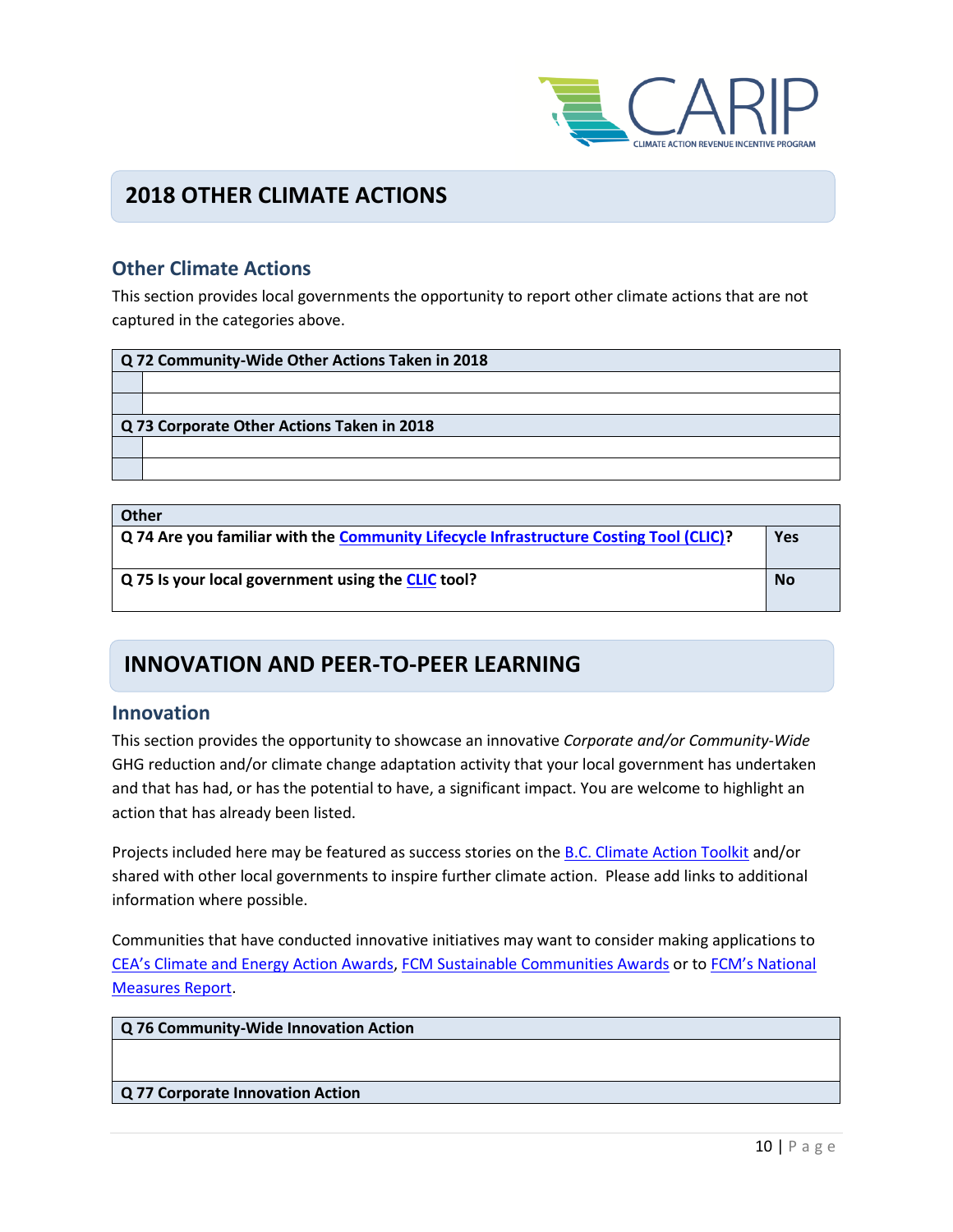

### **2018 OTHER CLIMATE ACTIONS**

### **Other Climate Actions**

This section provides local governments the opportunity to report other climate actions that are not captured in the categories above.

| Q 72 Community-Wide Other Actions Taken in 2018 |  |
|-------------------------------------------------|--|
|                                                 |  |
|                                                 |  |
| Q 73 Corporate Other Actions Taken in 2018      |  |
|                                                 |  |
|                                                 |  |

| <b>Other</b>                                                                           |            |
|----------------------------------------------------------------------------------------|------------|
| Q 74 Are you familiar with the Community Lifecycle Infrastructure Costing Tool (CLIC)? | <b>Yes</b> |
|                                                                                        |            |
| Q 75 Is your local government using the CLIC tool?                                     | <b>No</b>  |
|                                                                                        |            |

### **INNOVATION AND PEER-TO-PEER LEARNING**

#### **Innovation**

This section provides the opportunity to showcase an innovative *Corporate and/or Community-Wide*  GHG reduction and/or climate change adaptation activity that your local government has undertaken and that has had, or has the potential to have, a significant impact. You are welcome to highlight an action that has already been listed.

Projects included here may be featured as success stories on th[e B.C. Climate Action Toolkit](http://www.toolkit.bc.ca/) and/or shared with other local governments to inspire further climate action. Please add links to additional information where possible.

Communities that have conducted innovative initiatives may want to consider making applications to [CEA's Climate and Energy Action Awards](http://communityenergy.bc.ca/climate-and-energy-action-awards/), [FCM Sustainable Communities Awards](https://fcm.ca/home/awards/sustainable-communities-awards.htm) or to [FCM's National](https://fcm.ca/home/programs/partners-for-climate-protection/national-measures-report.htm)  [Measures Report.](https://fcm.ca/home/programs/partners-for-climate-protection/national-measures-report.htm)

**Q 76 Community-Wide Innovation Action**

#### **Q 77 Corporate Innovation Action**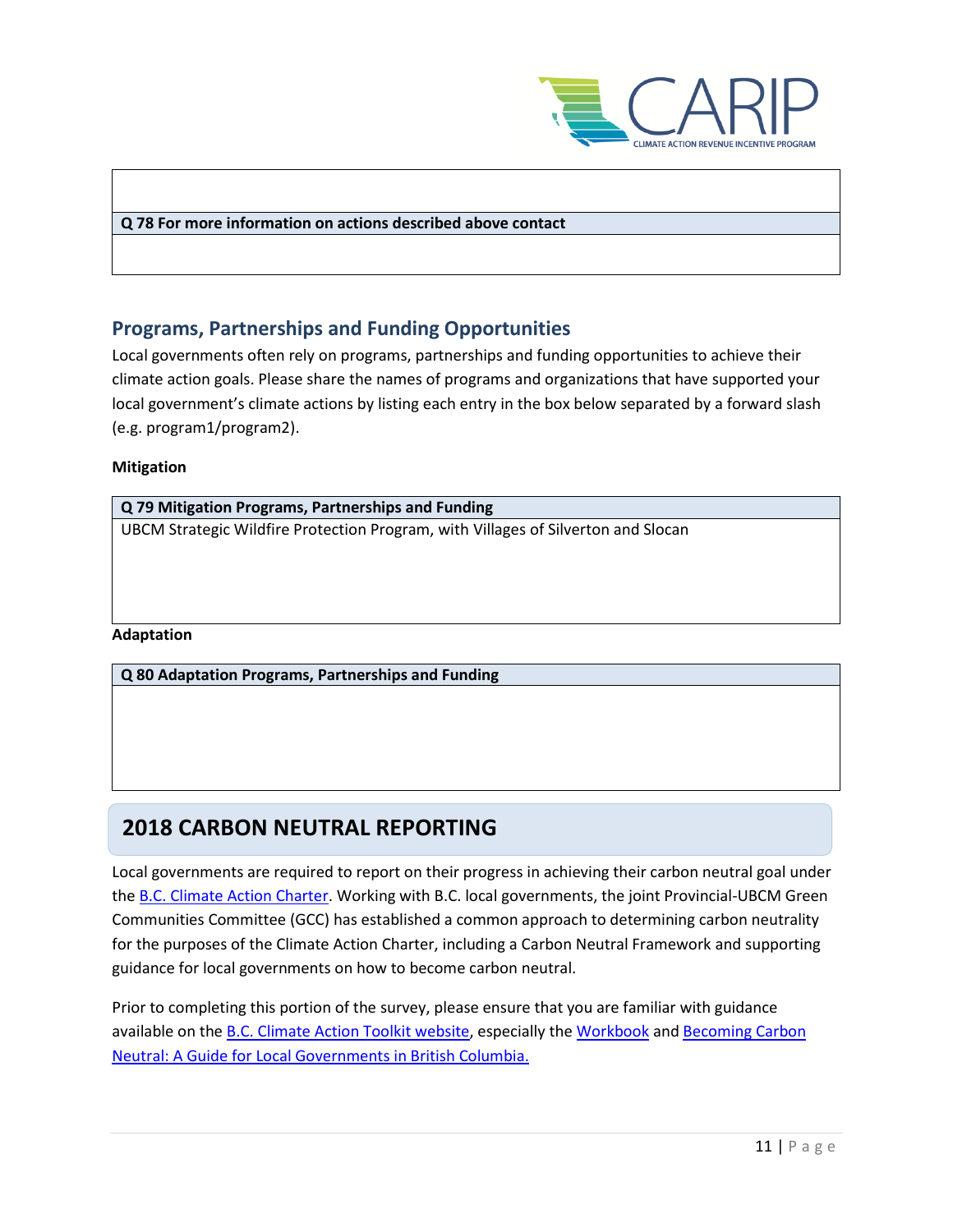

#### **Q 78 For more information on actions described above contact**

### **Programs, Partnerships and Funding Opportunities**

Local governments often rely on programs, partnerships and funding opportunities to achieve their climate action goals. Please share the names of programs and organizations that have supported your local government's climate actions by listing each entry in the box below separated by a forward slash (e.g. program1/program2).

#### **Mitigation**

| Q 79 Mitigation Programs, Partnerships and Funding                                |  |
|-----------------------------------------------------------------------------------|--|
| UBCM Strategic Wildfire Protection Program, with Villages of Silverton and Slocan |  |
|                                                                                   |  |
|                                                                                   |  |
|                                                                                   |  |
|                                                                                   |  |
| <b>Adaptation</b>                                                                 |  |
| Q 80 Adaptation Programs, Partnerships and Funding                                |  |
|                                                                                   |  |
|                                                                                   |  |

## **2018 CARBON NEUTRAL REPORTING**

Local governments are required to report on their progress in achieving their carbon neutral goal under th[e B.C. Climate Action Charter.](https://www2.gov.bc.ca/gov/content/governments/local-governments/climate-action/bc-climate-action-charter) Working with B.C. local governments, the joint Provincial-UBCM Green Communities Committee (GCC) has established a common approach to determining carbon neutrality for the purposes of the Climate Action Charter, including a Carbon Neutral Framework and supporting guidance for local governments on how to become carbon neutral.

Prior to completing this portion of the survey, please ensure that you are familiar with guidance available on th[e B.C. Climate Action Toolkit website,](http://www.toolkit.bc.ca/) especially the [Workbook](https://www.toolkit.bc.ca/sites/default/files/CarbonNeutralWorkbook.V2_noapdcs_03.12_1.pdf) and [Becoming Carbon](http://www.toolkit.bc.ca/sites/default/files/Becoming%20Carbon%20Neutral%20V3%20FINAL%20July%202014_0.pdf)  [Neutral: A Guide for Local Governments in British Columbia.](http://www.toolkit.bc.ca/sites/default/files/Becoming%20Carbon%20Neutral%20V3%20FINAL%20July%202014_0.pdf)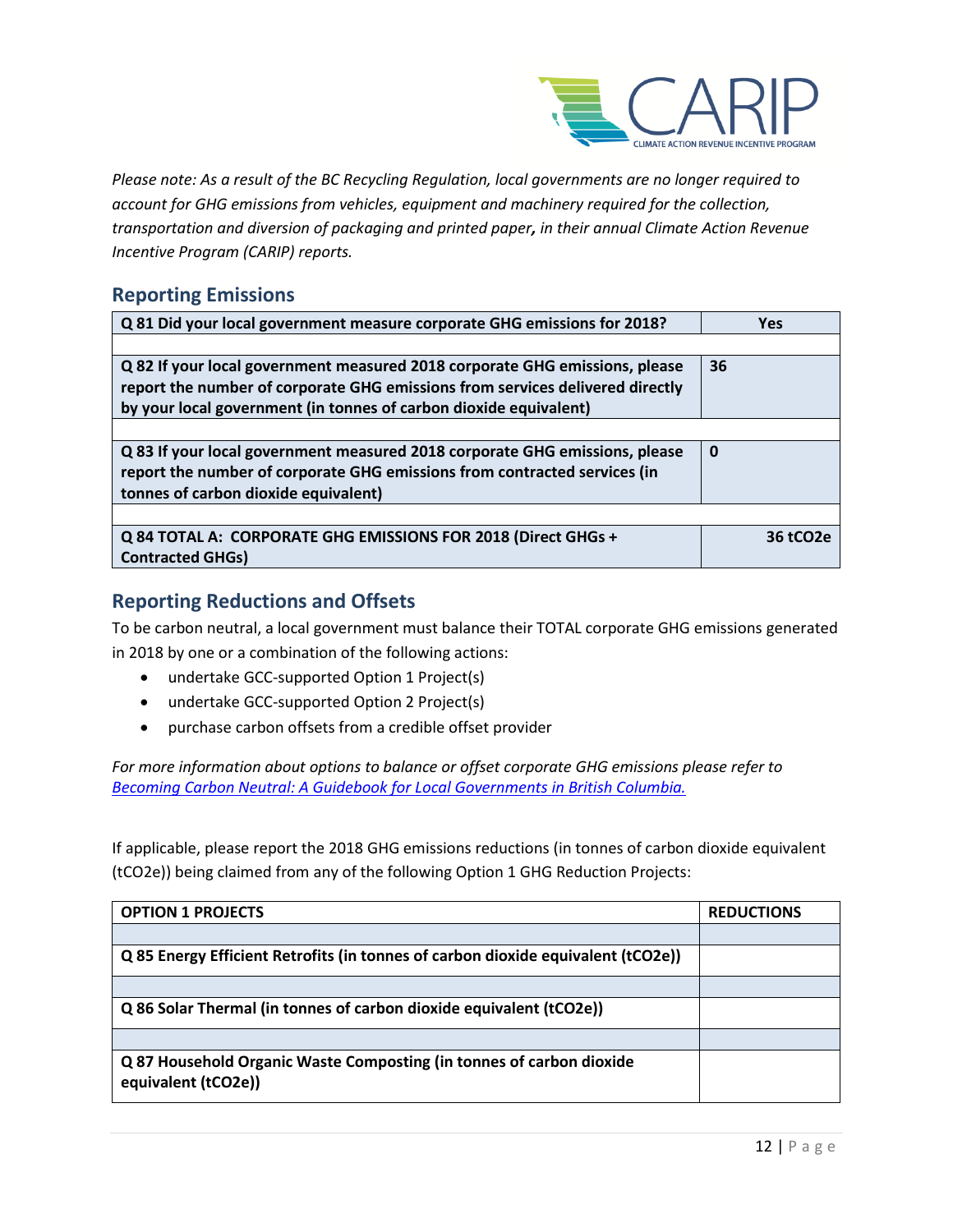

*Please note: As a result of the BC Recycling Regulation, local governments are no longer required to account for GHG emissions from vehicles, equipment and machinery required for the collection, transportation and diversion of packaging and printed paper, in their annual Climate Action Revenue Incentive Program (CARIP) reports.*

### **Reporting Emissions**

| Q 81 Did your local government measure corporate GHG emissions for 2018?                                                                                                                                                          | <b>Yes</b>            |
|-----------------------------------------------------------------------------------------------------------------------------------------------------------------------------------------------------------------------------------|-----------------------|
|                                                                                                                                                                                                                                   |                       |
| Q 82 If your local government measured 2018 corporate GHG emissions, please<br>report the number of corporate GHG emissions from services delivered directly<br>by your local government (in tonnes of carbon dioxide equivalent) | 36                    |
|                                                                                                                                                                                                                                   |                       |
| Q 83 If your local government measured 2018 corporate GHG emissions, please<br>report the number of corporate GHG emissions from contracted services (in<br>tonnes of carbon dioxide equivalent)                                  | 0                     |
|                                                                                                                                                                                                                                   |                       |
| Q 84 TOTAL A: CORPORATE GHG EMISSIONS FOR 2018 (Direct GHGs +<br><b>Contracted GHGs)</b>                                                                                                                                          | 36 tCO <sub>2</sub> e |

### **Reporting Reductions and Offsets**

To be carbon neutral, a local government must balance their TOTAL corporate GHG emissions generated in 2018 by one or a combination of the following actions:

- undertake GCC-supported Option 1 Project(s)
- undertake GCC-supported Option 2 Project(s)
- purchase carbon offsets from a credible offset provider

*For more information about options to balance or offset corporate GHG emissions please refer to [Becoming Carbon Neutral: A Guidebook for Local Governments in British Columbia.](http://www.toolkit.bc.ca/sites/default/files/Becoming%20Carbon%20Neutral%20V3%20FINAL%20July%202014_0.pdf)*

If applicable, please report the 2018 GHG emissions reductions (in tonnes of carbon dioxide equivalent (tCO2e)) being claimed from any of the following Option 1 GHG Reduction Projects:

| <b>OPTION 1 PROJECTS</b>                                                                    | <b>REDUCTIONS</b> |
|---------------------------------------------------------------------------------------------|-------------------|
|                                                                                             |                   |
| Q 85 Energy Efficient Retrofits (in tonnes of carbon dioxide equivalent (tCO2e))            |                   |
|                                                                                             |                   |
| Q 86 Solar Thermal (in tonnes of carbon dioxide equivalent (tCO2e))                         |                   |
|                                                                                             |                   |
| Q 87 Household Organic Waste Composting (in tonnes of carbon dioxide<br>equivalent (tCO2e)) |                   |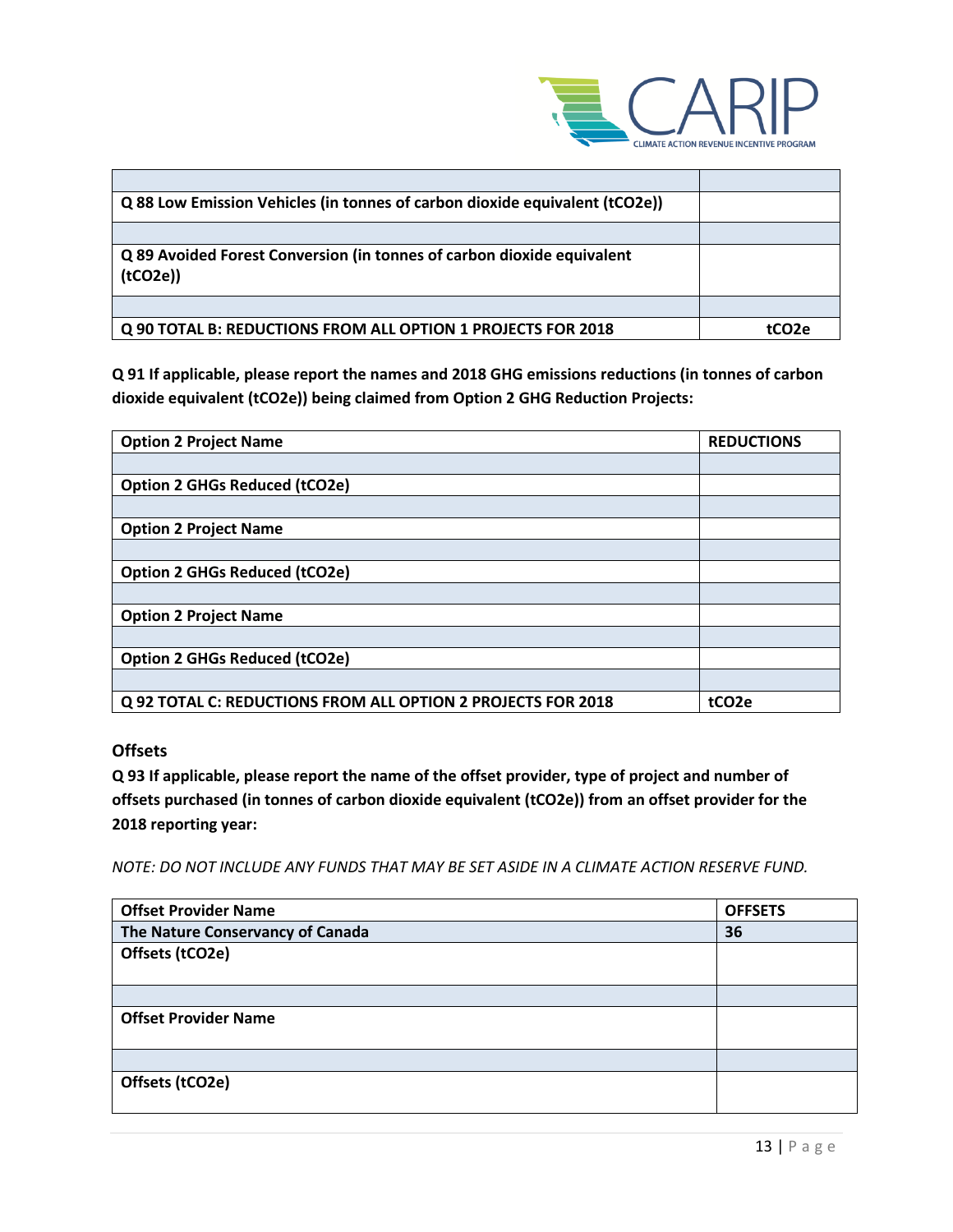

| Q 88 Low Emission Vehicles (in tonnes of carbon dioxide equivalent (tCO2e))       |                   |
|-----------------------------------------------------------------------------------|-------------------|
|                                                                                   |                   |
| Q 89 Avoided Forest Conversion (in tonnes of carbon dioxide equivalent<br>(tCO2e) |                   |
|                                                                                   |                   |
| Q 90 TOTAL B: REDUCTIONS FROM ALL OPTION 1 PROJECTS FOR 2018                      | tCO <sub>2e</sub> |

**Q 91 If applicable, please report the names and 2018 GHG emissions reductions (in tonnes of carbon dioxide equivalent (tCO2e)) being claimed from Option 2 GHG Reduction Projects:**

| <b>Option 2 Project Name</b>                                 | <b>REDUCTIONS</b> |
|--------------------------------------------------------------|-------------------|
|                                                              |                   |
| <b>Option 2 GHGs Reduced (tCO2e)</b>                         |                   |
|                                                              |                   |
| <b>Option 2 Project Name</b>                                 |                   |
|                                                              |                   |
| <b>Option 2 GHGs Reduced (tCO2e)</b>                         |                   |
|                                                              |                   |
| <b>Option 2 Project Name</b>                                 |                   |
|                                                              |                   |
| <b>Option 2 GHGs Reduced (tCO2e)</b>                         |                   |
|                                                              |                   |
| Q 92 TOTAL C: REDUCTIONS FROM ALL OPTION 2 PROJECTS FOR 2018 | tCO <sub>2e</sub> |

#### **Offsets**

**Q 93 If applicable, please report the name of the offset provider, type of project and number of offsets purchased (in tonnes of carbon dioxide equivalent (tCO2e)) from an offset provider for the 2018 reporting year:**

*NOTE: DO NOT INCLUDE ANY FUNDS THAT MAY BE SET ASIDE IN A CLIMATE ACTION RESERVE FUND.*

| <b>Offset Provider Name</b>      | <b>OFFSETS</b> |
|----------------------------------|----------------|
| The Nature Conservancy of Canada | 36             |
| Offsets (tCO2e)                  |                |
|                                  |                |
|                                  |                |
| <b>Offset Provider Name</b>      |                |
|                                  |                |
|                                  |                |
| Offsets (tCO2e)                  |                |
|                                  |                |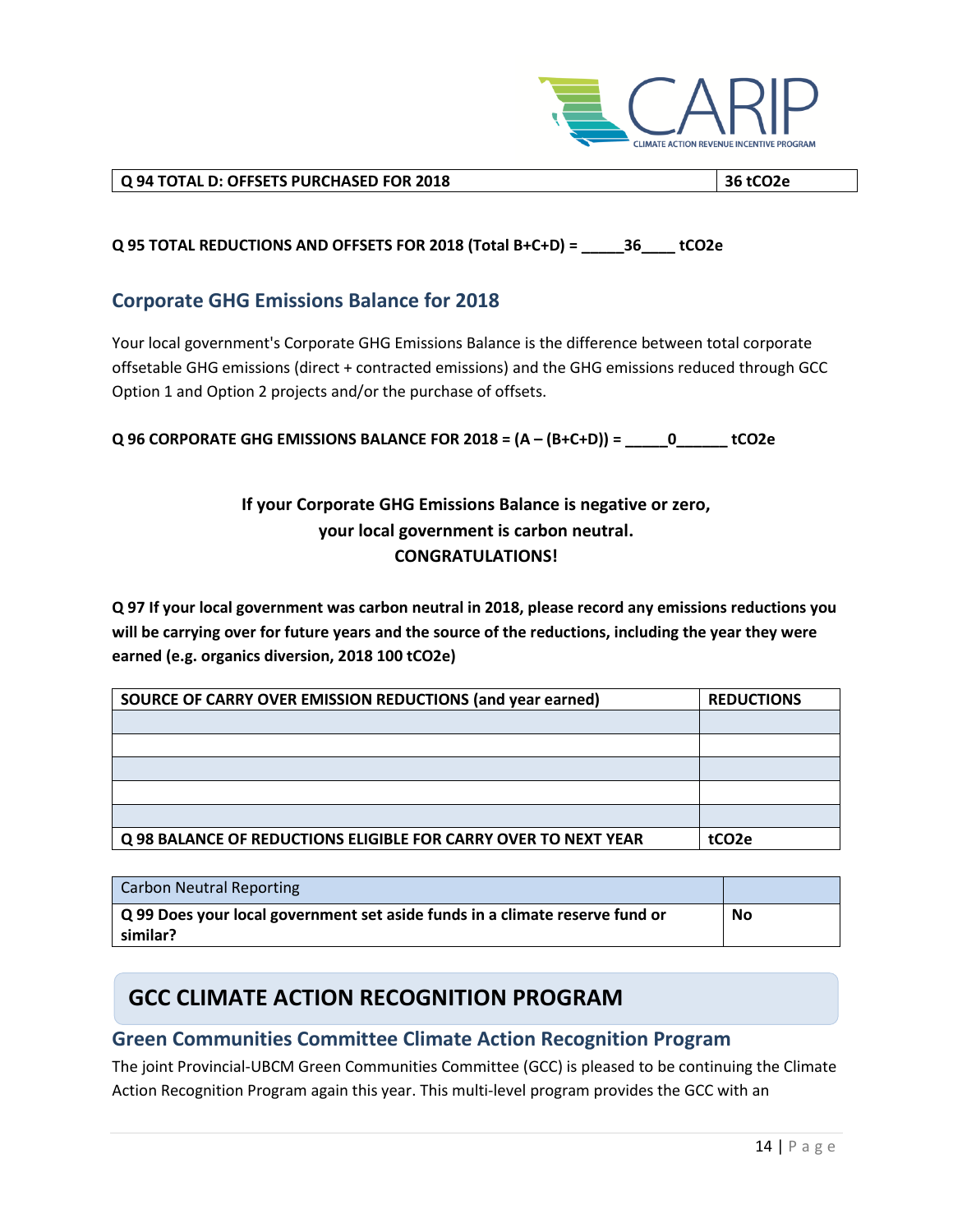

#### **Q 94 TOTAL D: OFFSETS PURCHASED FOR 2018 36 tCO2e**

#### **Q 95 TOTAL REDUCTIONS AND OFFSETS FOR 2018 (Total B+C+D) = \_\_\_\_\_36\_\_\_\_ tCO2e**

#### **Corporate GHG Emissions Balance for 2018**

Your local government's Corporate GHG Emissions Balance is the difference between total corporate offsetable GHG emissions (direct + contracted emissions) and the GHG emissions reduced through GCC Option 1 and Option 2 projects and/or the purchase of offsets.

**Q 96 CORPORATE GHG EMISSIONS BALANCE FOR 2018 = (A – (B+C+D)) = \_\_\_\_\_0\_\_\_\_\_\_ tCO2e**

### **If your Corporate GHG Emissions Balance is negative or zero, your local government is carbon neutral. CONGRATULATIONS!**

**Q 97 If your local government was carbon neutral in 2018, please record any emissions reductions you will be carrying over for future years and the source of the reductions, including the year they were earned (e.g. organics diversion, 2018 100 tCO2e)**

| SOURCE OF CARRY OVER EMISSION REDUCTIONS (and year earned)      | <b>REDUCTIONS</b> |
|-----------------------------------------------------------------|-------------------|
|                                                                 |                   |
|                                                                 |                   |
|                                                                 |                   |
|                                                                 |                   |
|                                                                 |                   |
| Q 98 BALANCE OF REDUCTIONS ELIGIBLE FOR CARRY OVER TO NEXT YEAR | tCO2e             |

| <b>Carbon Neutral Reporting</b>                                              |    |
|------------------------------------------------------------------------------|----|
| Q 99 Does your local government set aside funds in a climate reserve fund or | No |
| similar?                                                                     |    |

## **GCC CLIMATE ACTION RECOGNITION PROGRAM**

#### **Green Communities Committee Climate Action Recognition Program**

The joint Provincial-UBCM Green Communities Committee (GCC) is pleased to be continuing the Climate Action Recognition Program again this year. This multi-level program provides the GCC with an